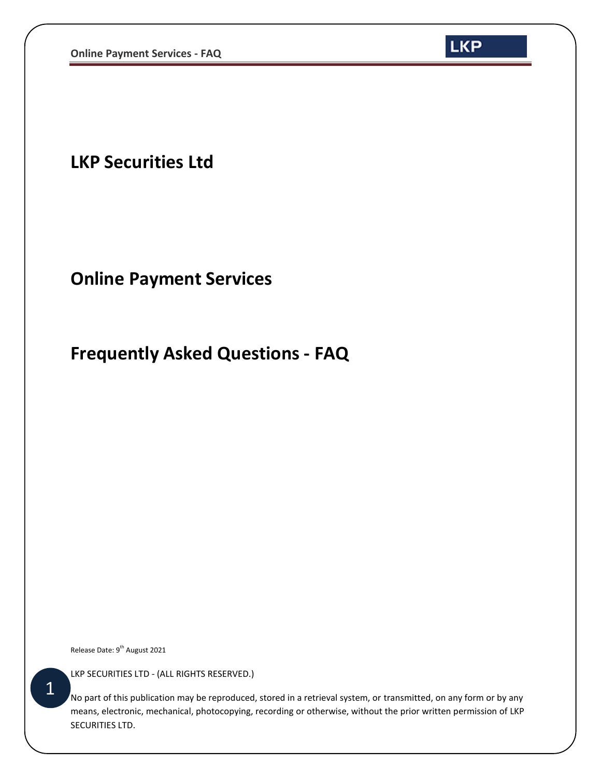

**LKP Securities Ltd**

## **Online Payment Services**

## **Frequently Asked Questions - FAQ**

Release Date: 9<sup>th</sup> August 2021

LKP SECURITIES LTD - (ALL RIGHTS RESERVED.)

No part of this publication may be reproduced, stored in a retrieval system, or transmitted, on any form or by any means, electronic, mechanical, photocopying, recording or otherwise, without the prior written permission of LKP SECURITIES LTD.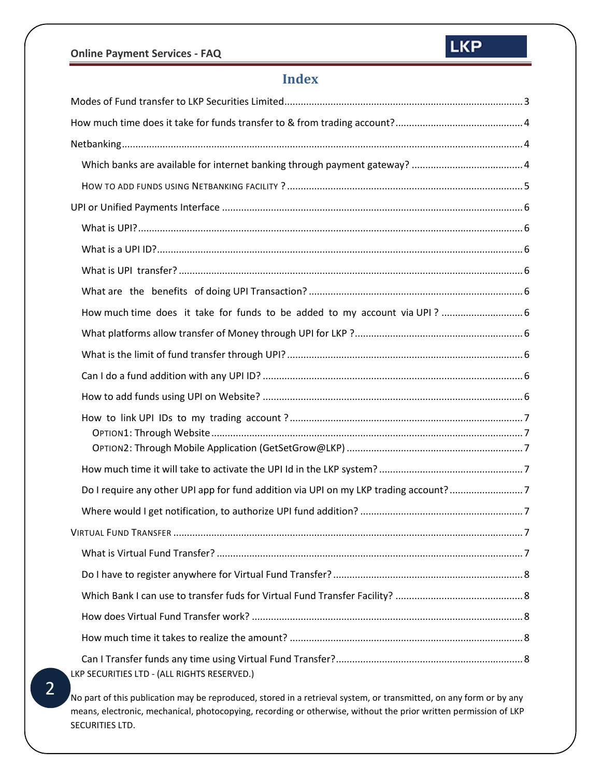## **Index**

| Do I require any other UPI app for fund addition via UPI on my LKP trading account?7 |  |  |  |  |
|--------------------------------------------------------------------------------------|--|--|--|--|
|                                                                                      |  |  |  |  |
|                                                                                      |  |  |  |  |
|                                                                                      |  |  |  |  |
|                                                                                      |  |  |  |  |
|                                                                                      |  |  |  |  |
|                                                                                      |  |  |  |  |
|                                                                                      |  |  |  |  |
|                                                                                      |  |  |  |  |
| LKP SECURITIES LTD - (ALL RIGHTS RESERVED.)                                          |  |  |  |  |

No part of this publication may be reproduced, stored in a retrieval system, or transmitted, on any form or by any means, electronic, mechanical, photocopying, recording or otherwise, without the prior written permission of LKP SECURITIES LTD.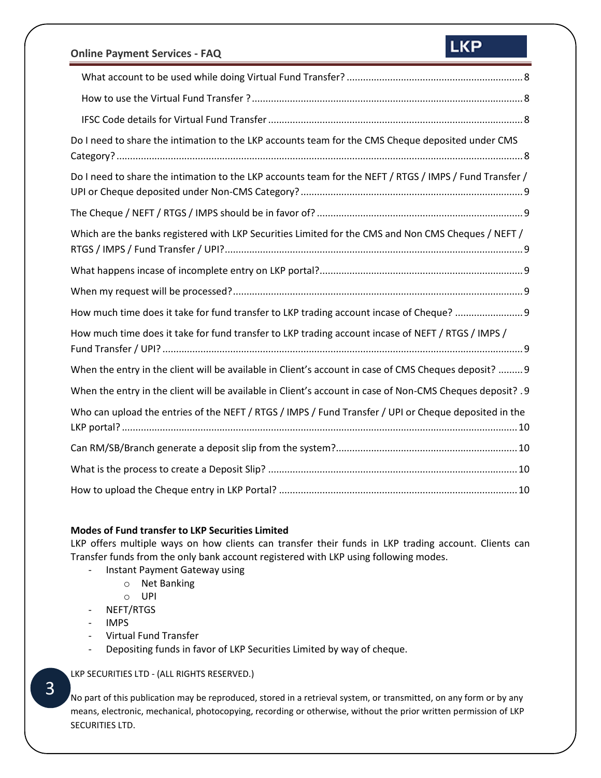## **LKP**

| Do I need to share the intimation to the LKP accounts team for the CMS Cheque deposited under CMS         |
|-----------------------------------------------------------------------------------------------------------|
| Do I need to share the intimation to the LKP accounts team for the NEFT / RTGS / IMPS / Fund Transfer /   |
|                                                                                                           |
| Which are the banks registered with LKP Securities Limited for the CMS and Non CMS Cheques / NEFT /       |
|                                                                                                           |
|                                                                                                           |
|                                                                                                           |
| How much time does it take for fund transfer to LKP trading account incase of Cheque?                     |
| How much time does it take for fund transfer to LKP trading account incase of NEFT / RTGS / IMPS /        |
| When the entry in the client will be available in Client's account in case of CMS Cheques deposit?  9     |
| When the entry in the client will be available in Client's account in case of Non-CMS Cheques deposit? .9 |
| Who can upload the entries of the NEFT / RTGS / IMPS / Fund Transfer / UPI or Cheque deposited in the     |
|                                                                                                           |
|                                                                                                           |

#### <span id="page-2-0"></span>**Modes of Fund transfer to LKP Securities Limited**

LKP offers multiple ways on how clients can transfer their funds in LKP trading account. Clients can Transfer funds from the only bank account registered with LKP using following modes.

- Instant Payment Gateway using
	- o Net Banking
	- o UPI
- NEFT/RTGS
- IMPS
- Virtual Fund Transfer
- Depositing funds in favor of LKP Securities Limited by way of cheque.

#### LKP SECURITIES LTD - (ALL RIGHTS RESERVED.)

No part of this publication may be reproduced, stored in a retrieval system, or transmitted, on any form or by any means, electronic, mechanical, photocopying, recording or otherwise, without the prior written permission of LKP SECURITIES LTD.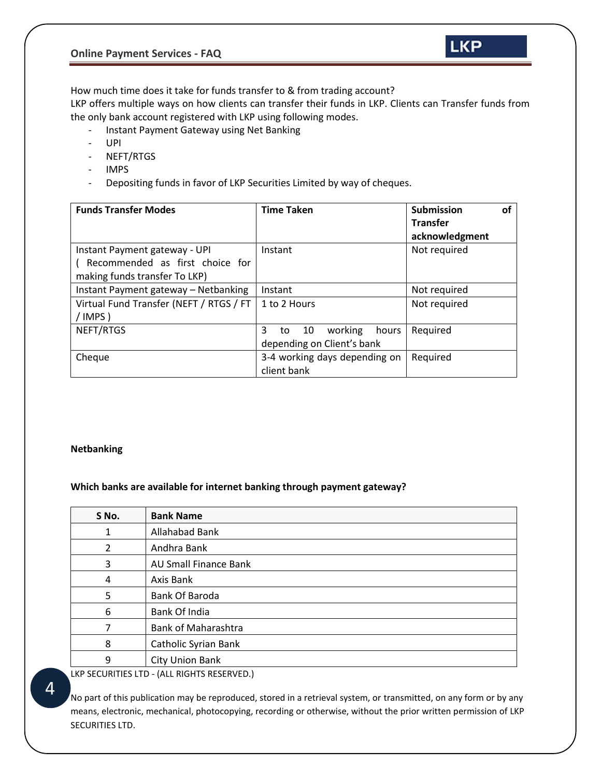

<span id="page-3-0"></span>How much time does it take for funds transfer to & from trading account?

LKP offers multiple ways on how clients can transfer their funds in LKP. Clients can Transfer funds from the only bank account registered with LKP using following modes.

- Instant Payment Gateway using Net Banking
- UPI
- NEFT/RTGS
- IMPS
- Depositing funds in favor of LKP Securities Limited by way of cheques.

| <b>Funds Transfer Modes</b>             | <b>Time Taken</b>                   | <b>Submission</b><br>οf |
|-----------------------------------------|-------------------------------------|-------------------------|
|                                         |                                     | <b>Transfer</b>         |
|                                         |                                     | acknowledgment          |
| Instant Payment gateway - UPI           | Instant                             | Not required            |
| Recommended as first choice for         |                                     |                         |
| making funds transfer To LKP)           |                                     |                         |
| Instant Payment gateway - Netbanking    | Instant                             | Not required            |
| Virtual Fund Transfer (NEFT / RTGS / FT | 1 to 2 Hours                        | Not required            |
| /IMPS)                                  |                                     |                         |
| NEFT/RTGS                               | 3<br>working<br>- 10<br>hours<br>to | Required                |
|                                         | depending on Client's bank          |                         |
| Cheque                                  | 3-4 working days depending on       | Required                |
|                                         | client bank                         |                         |

#### <span id="page-3-1"></span>**Netbanking**

#### <span id="page-3-2"></span>**Which banks are available for internet banking through payment gateway?**

| S No. | <b>Bank Name</b>             |
|-------|------------------------------|
|       | Allahabad Bank               |
| 2     | Andhra Bank                  |
| 3     | <b>AU Small Finance Bank</b> |
| 4     | Axis Bank                    |
| 5     | Bank Of Baroda               |
| 6     | Bank Of India                |
|       | <b>Bank of Maharashtra</b>   |
| 8     | Catholic Syrian Bank         |
| 9     | City Union Bank              |

LKP SECURITIES LTD - (ALL RIGHTS RESERVED.)

No part of this publication may be reproduced, stored in a retrieval system, or transmitted, on any form or by any means, electronic, mechanical, photocopying, recording or otherwise, without the prior written permission of LKP SECURITIES LTD.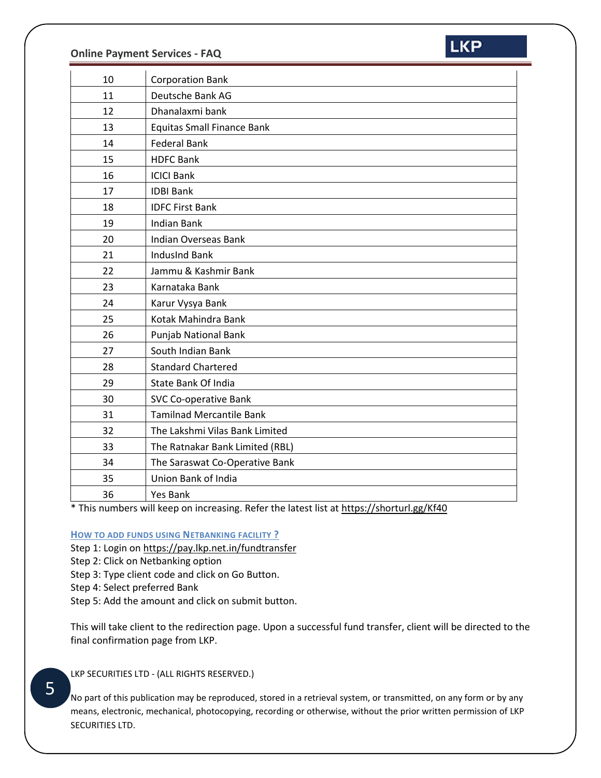

| 10 | <b>Corporation Bank</b>           |
|----|-----------------------------------|
| 11 | Deutsche Bank AG                  |
| 12 | Dhanalaxmi bank                   |
| 13 | <b>Equitas Small Finance Bank</b> |
| 14 | <b>Federal Bank</b>               |
| 15 | <b>HDFC Bank</b>                  |
| 16 | <b>ICICI Bank</b>                 |
| 17 | <b>IDBI Bank</b>                  |
| 18 | <b>IDFC First Bank</b>            |
| 19 | <b>Indian Bank</b>                |
| 20 | <b>Indian Overseas Bank</b>       |
| 21 | <b>IndusInd Bank</b>              |
| 22 | Jammu & Kashmir Bank              |
| 23 | Karnataka Bank                    |
| 24 | Karur Vysya Bank                  |
| 25 | Kotak Mahindra Bank               |
| 26 | Punjab National Bank              |
| 27 | South Indian Bank                 |
| 28 | <b>Standard Chartered</b>         |
| 29 | <b>State Bank Of India</b>        |
| 30 | <b>SVC Co-operative Bank</b>      |
| 31 | <b>Tamilnad Mercantile Bank</b>   |
| 32 | The Lakshmi Vilas Bank Limited    |
| 33 | The Ratnakar Bank Limited (RBL)   |
| 34 | The Saraswat Co-Operative Bank    |
| 35 | Union Bank of India               |
| 36 | Yes Bank                          |

\* This numbers will keep on increasing. Refer the latest list at<https://shorturl.gg/Kf40>

## <span id="page-4-0"></span>**HOW TO ADD FUNDS USING NETBANKING FACILITY ?**

Step 1: Login on<https://pay.lkp.net.in/fundtransfer>

Step 2: Click on Netbanking option

Step 3: Type client code and click on Go Button.

Step 4: Select preferred Bank

Step 5: Add the amount and click on submit button.

This will take client to the redirection page. Upon a successful fund transfer, client will be directed to the final confirmation page from LKP.

LKP SECURITIES LTD - (ALL RIGHTS RESERVED.)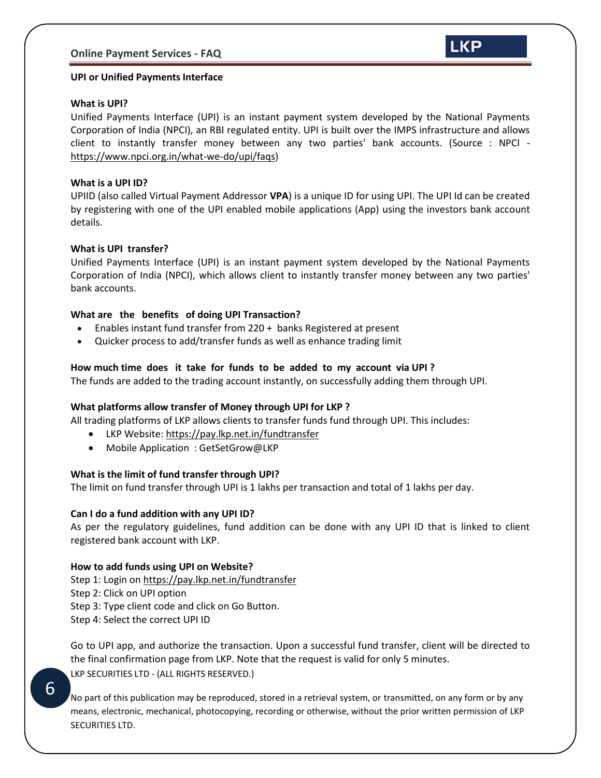

#### <span id="page-5-0"></span>**UPI or Unified Payments Interface**

#### <span id="page-5-1"></span>**What is UPI?**

Unified Payments Interface (UPI) is an instant payment system developed by the National Payments Corporation of India (NPCI), an RBI regulated entity. UPI is built over the IMPS infrastructure and allows client to instantly transfer money between any two parties' bank accounts. (Source : NPCI [https://www.npci.org.in/what-we-do/upi/faqs\)](https://www.npci.org.in/what-we-do/upi/faqs)

#### <span id="page-5-2"></span>**What is a UPI ID?**

UPIID (also called Virtual Payment Addressor **VPA**) is a unique ID for using UPI. The UPI Id can be created by registering with one of the UPI enabled mobile applications (App) using the investors bank account details.

#### <span id="page-5-3"></span>**What is UPI transfer?**

Unified Payments Interface (UPI) is an instant payment system developed by the National Payments Corporation of India (NPCI), which allows client to instantly transfer money between any two parties' bank accounts.

#### <span id="page-5-4"></span>**What are the benefits of doing UPI Transaction?**

- Enables instant fund transfer from 220 + banks Registered at present
- Quicker process to add/transfer funds as well as enhance trading limit

#### <span id="page-5-5"></span>**How much time does it take for funds to be added to my account via UPI ?**

The funds are added to the trading account instantly, on successfully adding them through UPI.

#### <span id="page-5-6"></span>**What platforms allow transfer of Money through UPI for LKP ?**

All trading platforms of LKP allows clients to transfer funds fund through UPI. This includes:

- LKP Website:<https://pay.lkp.net.in/fundtransfer>
- Mobile Application: GetSetGrow@LKP

#### <span id="page-5-7"></span>**What is the limit of fund transfer through UPI?**

The limit on fund transfer through UPI is 1 lakhs per transaction and total of 1 lakhs per day.

#### <span id="page-5-8"></span>**Can I do a fund addition with any UPI ID?**

As per the regulatory guidelines, fund addition can be done with any UPI ID that is linked to client registered bank account with LKP.

#### <span id="page-5-9"></span>**How to add funds using UPI on Website?**

Step 1: Login on<https://pay.lkp.net.in/fundtransfer> Step 2: Click on UPI option Step 3: Type client code and click on Go Button. Step 4: Select the correct UPI ID

LKP SECURITIES LTD - (ALL RIGHTS RESERVED.) Go to UPI app, and authorize the transaction. Upon a successful fund transfer, client will be directed to the final confirmation page from LKP. Note that the request is valid for only 5 minutes.

6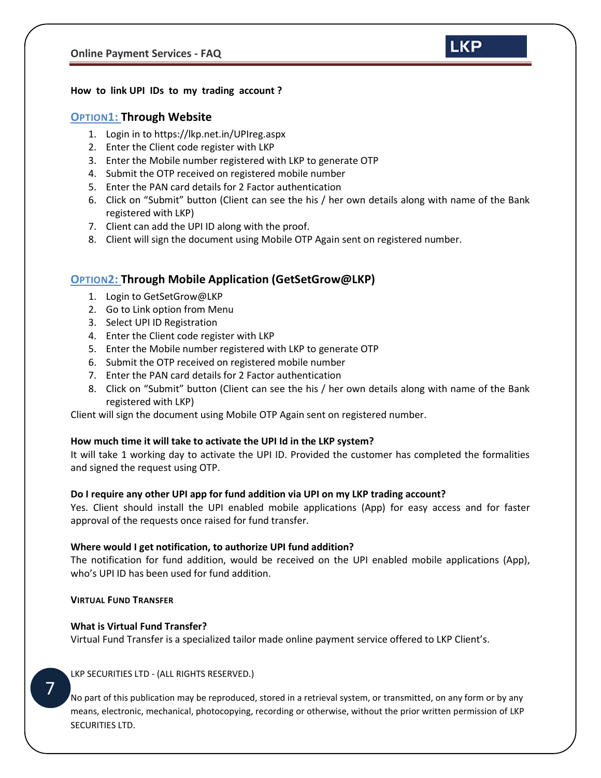#### <span id="page-6-1"></span><span id="page-6-0"></span>**How to link UPI IDs to my trading account ?**

#### **OPTION1: Through Website**

- 1. Login in to<https://lkp.net.in/UPIreg.aspx>
- 2. Enter the Client code register with LKP
- 3. Enter the Mobile number registered with LKP to generate OTP
- 4. Submit the OTP received on registered mobile number
- 5. Enter the PAN card details for 2 Factor authentication
- 6. Click on "Submit" button (Client can see the his / her own details along with name of the Bank registered with LKP)

**LKP** 

- 7. Client can add the UPI ID along with the proof.
- 8. Client will sign the document using Mobile OTP Again sent on registered number.

## <span id="page-6-2"></span>**OPTION2: Through Mobile Application (GetSetGrow@LKP)**

- 1. Login to GetSetGrow@LKP
- 2. Go to Link option from Menu
- 3. Select UPI ID Registration
- 4. Enter the Client code register with LKP
- 5. Enter the Mobile number registered with LKP to generate OTP
- 6. Submit the OTP received on registered mobile number
- 7. Enter the PAN card details for 2 Factor authentication
- 8. Click on "Submit" button (Client can see the his / her own details along with name of the Bank registered with LKP)

Client will sign the document using Mobile OTP Again sent on registered number.

#### <span id="page-6-3"></span>**How much time it will take to activate the UPI Id in the LKP system?**

It will take 1 working day to activate the UPI ID. Provided the customer has completed the formalities and signed the request using OTP.

#### <span id="page-6-4"></span>**Do I require any other UPI app for fund addition via UPI on my LKP trading account?**

Yes. Client should install the UPI enabled mobile applications (App) for easy access and for faster approval of the requests once raised for fund transfer.

#### <span id="page-6-5"></span>**Where would I get notification, to authorize UPI fund addition?**

The notification for fund addition, would be received on the UPI enabled mobile applications (App), who's UPI ID has been used for fund addition.

#### <span id="page-6-6"></span>**VIRTUAL FUND TRANSFER**

#### <span id="page-6-7"></span>**What is Virtual Fund Transfer?**

Virtual Fund Transfer is a specialized tailor made online payment service offered to LKP Client's.

#### LKP SECURITIES LTD - (ALL RIGHTS RESERVED.)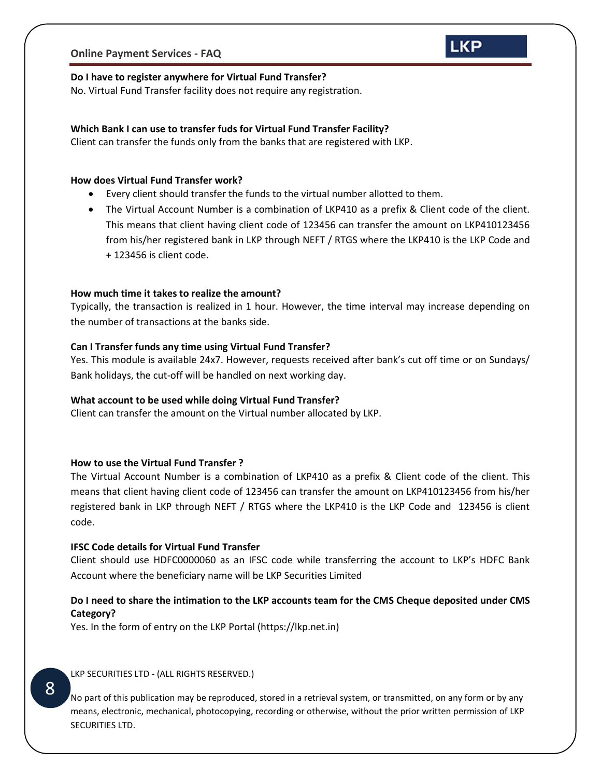# **LKP**

#### <span id="page-7-0"></span>**Do I have to register anywhere for Virtual Fund Transfer?**

No. Virtual Fund Transfer facility does not require any registration.

### <span id="page-7-1"></span>**Which Bank I can use to transfer fuds for Virtual Fund Transfer Facility?**

Client can transfer the funds only from the banks that are registered with LKP.

#### <span id="page-7-2"></span>**How does Virtual Fund Transfer work?**

- Every client should transfer the funds to the virtual number allotted to them.
- The Virtual Account Number is a combination of LKP410 as a prefix & Client code of the client. This means that client having client code of 123456 can transfer the amount on LKP410123456 from his/her registered bank in LKP through NEFT / RTGS where the LKP410 is the LKP Code and + 123456 is client code.

#### <span id="page-7-3"></span>**How much time it takes to realize the amount?**

Typically, the transaction is realized in 1 hour. However, the time interval may increase depending on the number of transactions at the banks side.

#### <span id="page-7-4"></span>**Can I Transfer funds any time using Virtual Fund Transfer?**

Yes. This module is available 24x7. However, requests received after bank's cut off time or on Sundays/ Bank holidays, the cut-off will be handled on next working day.

#### <span id="page-7-5"></span>**What account to be used while doing Virtual Fund Transfer?**

Client can transfer the amount on the Virtual number allocated by LKP.

#### <span id="page-7-6"></span>**How to use the Virtual Fund Transfer ?**

The Virtual Account Number is a combination of LKP410 as a prefix & Client code of the client. This means that client having client code of 123456 can transfer the amount on LKP410123456 from his/her registered bank in LKP through NEFT / RTGS where the LKP410 is the LKP Code and 123456 is client code.

#### <span id="page-7-7"></span>**IFSC Code details for Virtual Fund Transfer**

Client should use HDFC0000060 as an IFSC code while transferring the account to LKP's HDFC Bank Account where the beneficiary name will be LKP Securities Limited

## <span id="page-7-8"></span>**Do I need to share the intimation to the LKP accounts team for the CMS Cheque deposited under CMS Category?**

Yes. In the form of entry on the LKP Portal (https://lkp.net.in)

LKP SECURITIES LTD - (ALL RIGHTS RESERVED.)

No part of this publication may be reproduced, stored in a retrieval system, or transmitted, on any form or by any means, electronic, mechanical, photocopying, recording or otherwise, without the prior written permission of LKP SECURITIES LTD.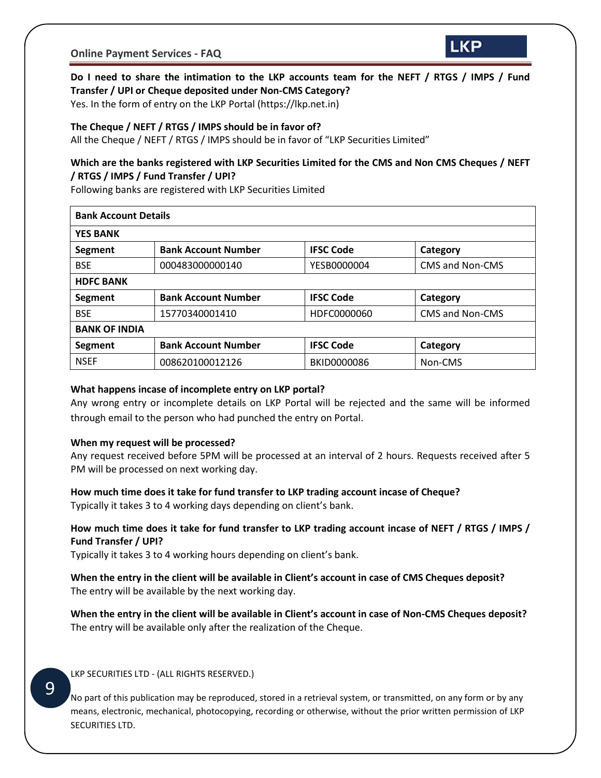

## <span id="page-8-0"></span>**Do I need to share the intimation to the LKP accounts team for the NEFT / RTGS / IMPS / Fund Transfer / UPI or Cheque deposited under Non-CMS Category?**

Yes. In the form of entry on the LKP Portal (https://lkp.net.in)

#### <span id="page-8-1"></span>**The Cheque / NEFT / RTGS / IMPS should be in favor of?**

All the Cheque / NEFT / RTGS / IMPS should be in favor of "LKP Securities Limited"

## <span id="page-8-2"></span>**Which are the banks registered with LKP Securities Limited for the CMS and Non CMS Cheques / NEFT / RTGS / IMPS / Fund Transfer / UPI?**

Following banks are registered with LKP Securities Limited

| <b>Bank Account Details</b> |                            |                  |                 |  |  |  |
|-----------------------------|----------------------------|------------------|-----------------|--|--|--|
| <b>YES BANK</b>             |                            |                  |                 |  |  |  |
| Segment                     | <b>Bank Account Number</b> | <b>IFSC Code</b> | Category        |  |  |  |
| <b>BSE</b>                  | 000483000000140            | YESB0000004      | CMS and Non-CMS |  |  |  |
| <b>HDFC BANK</b>            |                            |                  |                 |  |  |  |
| Segment                     | <b>Bank Account Number</b> | <b>IFSC Code</b> | Category        |  |  |  |
| <b>BSE</b>                  | 15770340001410             | HDFC0000060      | CMS and Non-CMS |  |  |  |
| <b>BANK OF INDIA</b>        |                            |                  |                 |  |  |  |
| Segment                     | <b>Bank Account Number</b> | <b>IFSC Code</b> | Category        |  |  |  |
| <b>NSEF</b>                 | 008620100012126            | BKID0000086      | Non-CMS         |  |  |  |

#### <span id="page-8-3"></span>**What happens incase of incomplete entry on LKP portal?**

Any wrong entry or incomplete details on LKP Portal will be rejected and the same will be informed through email to the person who had punched the entry on Portal.

#### <span id="page-8-4"></span>**When my request will be processed?**

Any request received before 5PM will be processed at an interval of 2 hours. Requests received after 5 PM will be processed on next working day.

#### <span id="page-8-5"></span>**How much time does it take for fund transfer to LKP trading account incase of Cheque?**

Typically it takes 3 to 4 working days depending on client's bank.

## <span id="page-8-6"></span>**How much time does it take for fund transfer to LKP trading account incase of NEFT / RTGS / IMPS / Fund Transfer / UPI?**

Typically it takes 3 to 4 working hours depending on client's bank.

<span id="page-8-7"></span>**When the entry in the client will be available in Client's account in case of CMS Cheques deposit?** The entry will be available by the next working day.

<span id="page-8-8"></span>**When the entry in the client will be available in Client's account in case of Non-CMS Cheques deposit?** The entry will be available only after the realization of the Cheque.

LKP SECURITIES LTD - (ALL RIGHTS RESERVED.)